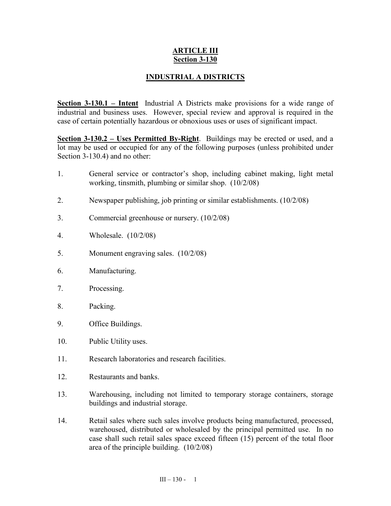## **ARTICLE III Section 3-130**

## **INDUSTRIAL A DISTRICTS**

**<u>Section 3-130.1 – Intent</u>** Industrial A Districts make provisions for a wide range of industrial and business uses. However, special review and approval is required in the case of certain potentially hazardous or obnoxious uses or uses of significant impact.

**Section 3-130.2 – Uses Permitted By-Right**. Buildings may be erected or used, and a lot may be used or occupied for any of the following purposes (unless prohibited under Section 3-130.4) and no other:

- 1. General service or contractor's shop, including cabinet making, light metal working, tinsmith, plumbing or similar shop. (10/2/08)
- 2. Newspaper publishing, job printing or similar establishments. (10/2/08)
- 3. Commercial greenhouse or nursery. (10/2/08)
- 4. Wholesale. (10/2/08)
- 5. Monument engraving sales. (10/2/08)
- 6. Manufacturing.
- 7. Processing.
- 8. Packing.
- 9. Office Buildings.
- 10. Public Utility uses.
- 11. Research laboratories and research facilities.
- 12. Restaurants and banks.
- 13. Warehousing, including not limited to temporary storage containers, storage buildings and industrial storage.
- 14. Retail sales where such sales involve products being manufactured, processed, warehoused, distributed or wholesaled by the principal permitted use. In no case shall such retail sales space exceed fifteen (15) percent of the total floor area of the principle building. (10/2/08)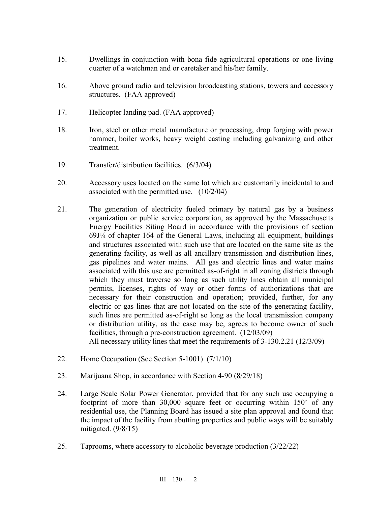- 15. Dwellings in conjunction with bona fide agricultural operations or one living quarter of a watchman and or caretaker and his/her family.
- 16. Above ground radio and television broadcasting stations, towers and accessory structures. (FAA approved)
- 17. Helicopter landing pad. (FAA approved)
- 18. Iron, steel or other metal manufacture or processing, drop forging with power hammer, boiler works, heavy weight casting including galvanizing and other treatment.
- 19. Transfer/distribution facilities. (6/3/04)
- 20. Accessory uses located on the same lot which are customarily incidental to and associated with the permitted use. (10/2/04)
- 21. The generation of electricity fueled primary by natural gas by a business organization or public service corporation, as approved by the Massachusetts Energy Facilities Siting Board in accordance with the provisions of section 69J¼ of chapter 164 of the General Laws, including all equipment, buildings and structures associated with such use that are located on the same site as the generating facility, as well as all ancillary transmission and distribution lines, gas pipelines and water mains. All gas and electric lines and water mains associated with this use are permitted as-of-right in all zoning districts through which they must traverse so long as such utility lines obtain all municipal permits, licenses, rights of way or other forms of authorizations that are necessary for their construction and operation; provided, further, for any electric or gas lines that are not located on the site of the generating facility, such lines are permitted as-of-right so long as the local transmission company or distribution utility, as the case may be, agrees to become owner of such facilities, through a pre-construction agreement. (12/03/09) All necessary utility lines that meet the requirements of 3-130.2.21 (12/3/09)
- 22. Home Occupation (See Section 5-1001) (7/1/10)
- 23. Marijuana Shop, in accordance with Section 4-90 (8/29/18)
- 24. Large Scale Solar Power Generator, provided that for any such use occupying a footprint of more than 30,000 square feet or occurring within 150' of any residential use, the Planning Board has issued a site plan approval and found that the impact of the facility from abutting properties and public ways will be suitably mitigated.  $(9/8/15)$
- 25. Taprooms, where accessory to alcoholic beverage production (3/22/22)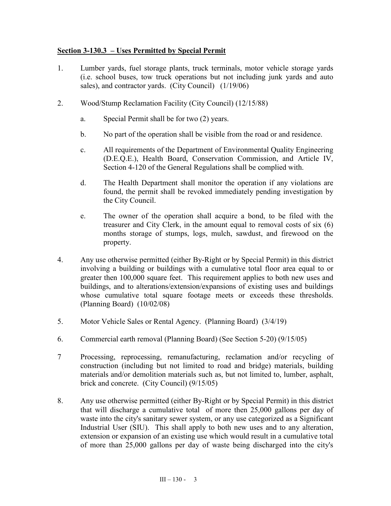## **Section 3-130.3 – Uses Permitted by Special Permit**

- 1. Lumber yards, fuel storage plants, truck terminals, motor vehicle storage yards (i.e. school buses, tow truck operations but not including junk yards and auto sales), and contractor yards. (City Council) (1/19/06)
- 2. Wood/Stump Reclamation Facility (City Council) (12/15/88)
	- a. Special Permit shall be for two (2) years.
	- b. No part of the operation shall be visible from the road or and residence.
	- c. All requirements of the Department of Environmental Quality Engineering (D.E.Q.E.), Health Board, Conservation Commission, and Article IV, Section 4-120 of the General Regulations shall be complied with.
	- d. The Health Department shall monitor the operation if any violations are found, the permit shall be revoked immediately pending investigation by the City Council.
	- e. The owner of the operation shall acquire a bond, to be filed with the treasurer and City Clerk, in the amount equal to removal costs of six (6) months storage of stumps, logs, mulch, sawdust, and firewood on the property.
- 4. Any use otherwise permitted (either By-Right or by Special Permit) in this district involving a building or buildings with a cumulative total floor area equal to or greater then 100,000 square feet. This requirement applies to both new uses and buildings, and to alterations/extension/expansions of existing uses and buildings whose cumulative total square footage meets or exceeds these thresholds. (Planning Board) (10/02/08)
- 5. Motor Vehicle Sales or Rental Agency. (Planning Board) (3/4/19)
- 6. Commercial earth removal (Planning Board) (See Section 5-20) (9/15/05)
- 7 Processing, reprocessing, remanufacturing, reclamation and/or recycling of construction (including but not limited to road and bridge) materials, building materials and/or demolition materials such as, but not limited to, lumber, asphalt, brick and concrete. (City Council) (9/15/05)
- 8. Any use otherwise permitted (either By-Right or by Special Permit) in this district that will discharge a cumulative total of more then 25,000 gallons per day of waste into the city's sanitary sewer system, or any use categorized as a Significant Industrial User (SIU). This shall apply to both new uses and to any alteration, extension or expansion of an existing use which would result in a cumulative total of more than 25,000 gallons per day of waste being discharged into the city's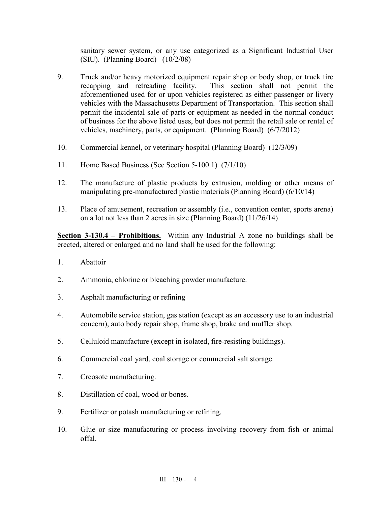sanitary sewer system, or any use categorized as a Significant Industrial User (SIU). (Planning Board) (10/2/08)

- 9. Truck and/or heavy motorized equipment repair shop or body shop, or truck tire recapping and retreading facility. This section shall not permit the aforementioned used for or upon vehicles registered as either passenger or livery vehicles with the Massachusetts Department of Transportation. This section shall permit the incidental sale of parts or equipment as needed in the normal conduct of business for the above listed uses, but does not permit the retail sale or rental of vehicles, machinery, parts, or equipment. (Planning Board) (6/7/2012)
- 10. Commercial kennel, or veterinary hospital (Planning Board) (12/3/09)
- 11. Home Based Business (See Section 5-100.1) (7/1/10)
- 12. The manufacture of plastic products by extrusion, molding or other means of manipulating pre-manufactured plastic materials (Planning Board) (6/10/14)
- 13. Place of amusement, recreation or assembly (i.e., convention center, sports arena) on a lot not less than 2 acres in size (Planning Board) (11/26/14)

**Section 3-130.4 – Prohibitions.** Within any Industrial A zone no buildings shall be erected, altered or enlarged and no land shall be used for the following:

- 1. Abattoir
- 2. Ammonia, chlorine or bleaching powder manufacture.
- 3. Asphalt manufacturing or refining
- 4. Automobile service station, gas station (except as an accessory use to an industrial concern), auto body repair shop, frame shop, brake and muffler shop.
- 5. Celluloid manufacture (except in isolated, fire-resisting buildings).
- 6. Commercial coal yard, coal storage or commercial salt storage.
- 7. Creosote manufacturing.
- 8. Distillation of coal, wood or bones.
- 9. Fertilizer or potash manufacturing or refining.
- 10. Glue or size manufacturing or process involving recovery from fish or animal offal.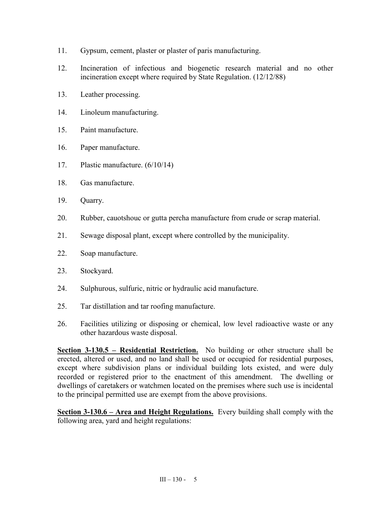- 11. Gypsum, cement, plaster or plaster of paris manufacturing.
- 12. Incineration of infectious and biogenetic research material and no other incineration except where required by State Regulation. (12/12/88)
- 13. Leather processing.
- 14. Linoleum manufacturing.
- 15. Paint manufacture.
- 16. Paper manufacture.
- 17. Plastic manufacture. (6/10/14)
- 18. Gas manufacture.
- 19. Quarry.
- 20. Rubber, cauotshouc or gutta percha manufacture from crude or scrap material.
- 21. Sewage disposal plant, except where controlled by the municipality.
- 22. Soap manufacture.
- 23. Stockyard.
- 24. Sulphurous, sulfuric, nitric or hydraulic acid manufacture.
- 25. Tar distillation and tar roofing manufacture.
- 26. Facilities utilizing or disposing or chemical, low level radioactive waste or any other hazardous waste disposal.

**Section 3-130.5 – Residential Restriction.** No building or other structure shall be erected, altered or used, and no land shall be used or occupied for residential purposes, except where subdivision plans or individual building lots existed, and were duly recorded or registered prior to the enactment of this amendment. The dwelling or dwellings of caretakers or watchmen located on the premises where such use is incidental to the principal permitted use are exempt from the above provisions.

**Section 3-130.6 – Area and Height Regulations.** Every building shall comply with the following area, yard and height regulations: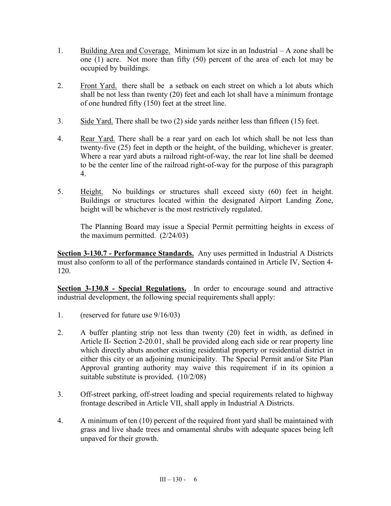- 1. Building Area and Coverage. Minimum lot size in an Industrial A zone shall be one (1) acre. Not more than fifty (50) percent of the area of each lot may be occupied by buildings.
- 2. Front Yard. there shall be a setback on each street on which a lot abuts which shall be not less than twenty (20) feet and each lot shall have a minimum frontage of one hundred fifty (150) feet at the street line.
- 3. Side Yard. There shall be two (2) side yards neither less than fifteen (15) feet.
- 4. Rear Yard. There shall be a rear yard on each lot which shall be not less than twenty-five (25) feet in depth or the height, of the building, whichever is greater. Where a rear yard abuts a railroad right-of-way, the rear lot line shall be deemed to be the center line of the railroad right-of-way for the purpose of this paragraph 4.
- 5. Height. No buildings or structures shall exceed sixty (60) feet in height. Buildings or structures located within the designated Airport Landing Zone, height will be whichever is the most restrictively regulated.

The Planning Board may issue a Special Permit permitting heights in excess of the maximum permitted.  $(2/24/03)$ 

**Section 3-130.7 - Performance Standards.** Any uses permitted in Industrial A Districts must also conform to all of the performance standards contained in Article IV, Section 4- 120.

**Section 3-130.8 - Special Regulations.** In order to encourage sound and attractive industrial development, the following special requirements shall apply:

- 1. (reserved for future use 9/16/03)
- 2. A buffer planting strip not less than twenty (20) feet in width, as defined in Article II- Section 2-20.01, shall be provided along each side or rear property line which directly abuts another existing residential property or residential district in either this city or an adjoining municipality. The Special Permit and/or Site Plan Approval granting authority may waive this requirement if in its opinion a suitable substitute is provided. (10/2/08)
- 3. Off-street parking, off-street loading and special requirements related to highway frontage described in Article VII, shall apply in Industrial A Districts.
- 4. A minimum of ten (10) percent of the required front yard shall be maintained with grass and live shade trees and ornamental shrubs with adequate spaces being left unpaved for their growth.